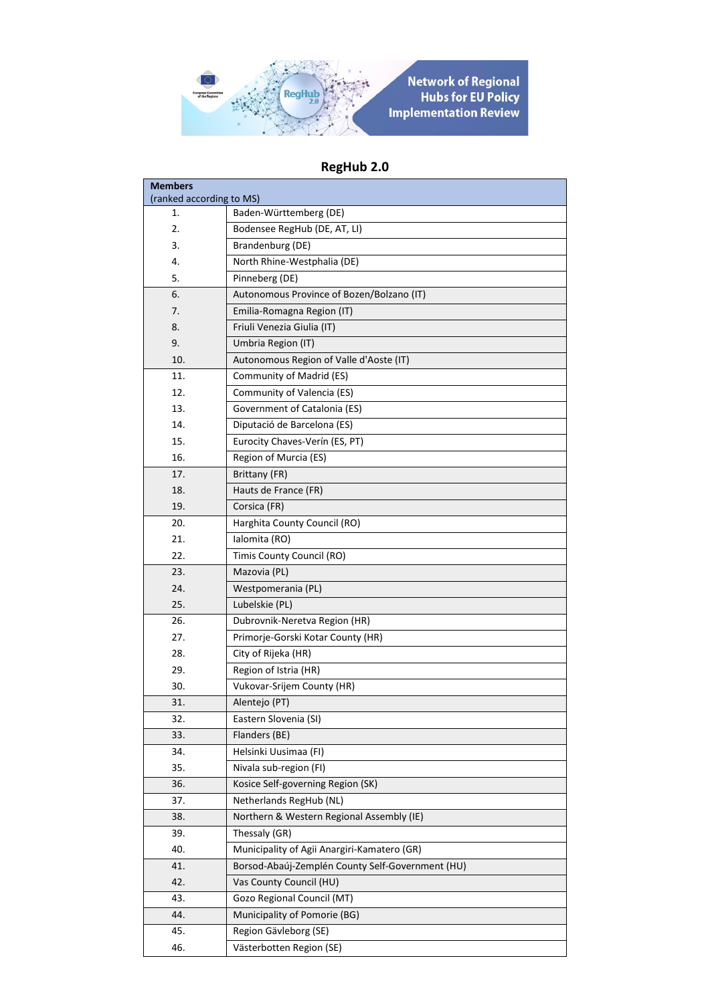

## **RegHub 2.0**

| <b>Members</b>           |                                                  |
|--------------------------|--------------------------------------------------|
| (ranked according to MS) |                                                  |
| 1.                       | Baden-Württemberg (DE)                           |
| 2.                       | Bodensee RegHub (DE, AT, LI)                     |
| 3.                       | Brandenburg (DE)                                 |
| 4.                       | North Rhine-Westphalia (DE)                      |
| 5.                       | Pinneberg (DE)                                   |
| 6.                       | Autonomous Province of Bozen/Bolzano (IT)        |
| 7.                       | Emilia-Romagna Region (IT)                       |
| 8.                       | Friuli Venezia Giulia (IT)                       |
| 9.                       | Umbria Region (IT)                               |
| 10.                      | Autonomous Region of Valle d'Aoste (IT)          |
| 11.                      | Community of Madrid (ES)                         |
| 12.                      | Community of Valencia (ES)                       |
| 13.                      | Government of Catalonia (ES)                     |
| 14.                      | Diputació de Barcelona (ES)                      |
| 15.                      | Eurocity Chaves-Verín (ES, PT)                   |
| 16.                      | Region of Murcia (ES)                            |
| 17.                      | Brittany (FR)                                    |
| 18.                      | Hauts de France (FR)                             |
| 19.                      | Corsica (FR)                                     |
| 20.                      | Harghita County Council (RO)                     |
| 21.                      | Ialomita (RO)                                    |
| 22.                      | Timis County Council (RO)                        |
| 23.                      | Mazovia (PL)                                     |
| 24.                      | Westpomerania (PL)                               |
| 25.                      | Lubelskie (PL)                                   |
| 26.                      | Dubrovnik-Neretva Region (HR)                    |
| 27.                      | Primorje-Gorski Kotar County (HR)                |
| 28.                      | City of Rijeka (HR)                              |
| 29.                      | Region of Istria (HR)                            |
| 30.                      | Vukovar-Srijem County (HR)                       |
| 31.                      | Alentejo (PT)                                    |
| 32.                      | Eastern Slovenia (SI)                            |
| 33.                      | Flanders (BE)                                    |
| 34.                      | Helsinki Uusimaa (FI)                            |
| 35.                      | Nivala sub-region (FI)                           |
| 36.                      | Kosice Self-governing Region (SK)                |
| 37.                      | Netherlands RegHub (NL)                          |
| 38.                      | Northern & Western Regional Assembly (IE)        |
| 39.                      | Thessaly (GR)                                    |
| 40.                      | Municipality of Agii Anargiri-Kamatero (GR)      |
| 41.                      | Borsod-Abaúj-Zemplén County Self-Government (HU) |
| 42.                      | Vas County Council (HU)                          |
| 43.                      | Gozo Regional Council (MT)                       |
| 44.                      | Municipality of Pomorie (BG)                     |
| 45.                      | Region Gävleborg (SE)                            |
| 46.                      | Västerbotten Region (SE)                         |